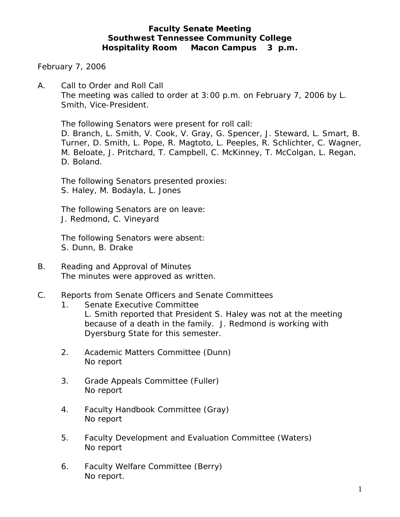# **Faculty Senate Meeting Southwest Tennessee Community College Hospitality Room Macon Campus 3 p.m.**

February 7, 2006

A. Call to Order and Roll Call The meeting was called to order at 3:00 p.m. on February 7, 2006 by L. Smith, Vice-President.

The following Senators were present for roll call:

D. Branch, L. Smith, V. Cook, V. Gray, G. Spencer, J. Steward, L. Smart, B. Turner, D. Smith, L. Pope, R. Magtoto, L. Peeples, R. Schlichter, C. Wagner, M. Beloate, J. Pritchard, T. Campbell, C. McKinney, T. McColgan, L. Regan, D. Boland.

The following Senators presented proxies: S. Haley, M. Bodayla, L. Jones

The following Senators are on leave: J. Redmond, C. Vineyard

The following Senators were absent: S. Dunn, B. Drake

- B. Reading and Approval of Minutes The minutes were approved as written.
- C. Reports from Senate Officers and Senate Committees
	- 1. Senate Executive Committee L. Smith reported that President S. Haley was not at the meeting because of a death in the family. J. Redmond is working with Dyersburg State for this semester.
	- 2. Academic Matters Committee (Dunn) No report
	- 3. Grade Appeals Committee (Fuller) No report
	- 4. Faculty Handbook Committee (Gray) No report
	- 5. Faculty Development and Evaluation Committee (Waters) No report
	- 6. Faculty Welfare Committee (Berry) No report.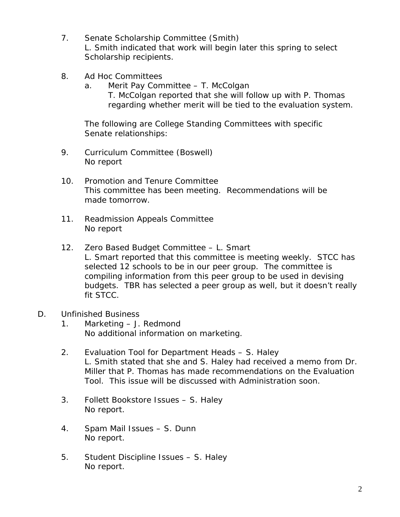- 7. Senate Scholarship Committee (Smith) L. Smith indicated that work will begin later this spring to select Scholarship recipients.
- 8. Ad Hoc Committees
	- a. Merit Pay Committee T. McColgan T. McColgan reported that she will follow up with P. Thomas regarding whether merit will be tied to the evaluation system.

 The following are College Standing Committees with specific Senate relationships:

- 9. Curriculum Committee (Boswell) No report
- 10. Promotion and Tenure Committee This committee has been meeting. Recommendations will be made tomorrow.
- 11. Readmission Appeals Committee No report
- 12. Zero Based Budget Committee L. Smart L. Smart reported that this committee is meeting weekly. STCC has selected 12 schools to be in our peer group. The committee is compiling information from this peer group to be used in devising budgets. TBR has selected a peer group as well, but it doesn't really fit STCC.
- D. Unfinished Business
	- 1. Marketing J. Redmond No additional information on marketing.
	- 2. Evaluation Tool for Department Heads S. Haley L. Smith stated that she and S. Haley had received a memo from Dr. Miller that P. Thomas has made recommendations on the Evaluation Tool. This issue will be discussed with Administration soon.
	- 3. Follett Bookstore Issues S. Haley No report.
	- 4. Spam Mail Issues S. Dunn No report.
	- 5. Student Discipline Issues S. Haley No report.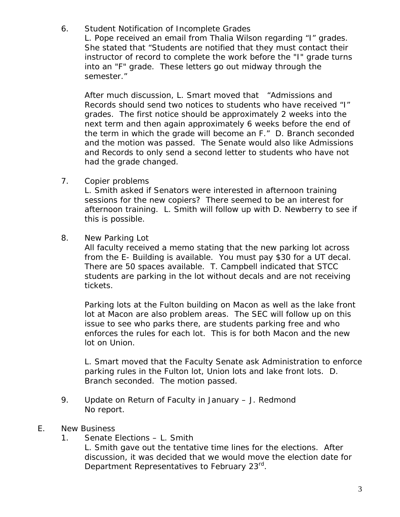6. Student Notification of Incomplete Grades

L. Pope received an email from Thalia Wilson regarding "I" grades. She stated that "Students are notified that they must contact their instructor of record to complete the work before the "I" grade turns into an "F" grade. These letters go out midway through the semester."

After much discussion, L. Smart moved that "Admissions and Records should send two notices to students who have received "I" grades. The first notice should be approximately 2 weeks into the next term and then again approximately 6 weeks before the end of the term in which the grade will become an F." D. Branch seconded and the motion was passed. The Senate would also like Admissions and Records to only send a second letter to students who have not had the grade changed.

7. Copier problems

L. Smith asked if Senators were interested in afternoon training sessions for the new copiers? There seemed to be an interest for afternoon training. L. Smith will follow up with D. Newberry to see if this is possible.

8. New Parking Lot

All faculty received a memo stating that the new parking lot across from the E- Building is available. You must pay \$30 for a UT decal. There are 50 spaces available. T. Campbell indicated that STCC students are parking in the lot without decals and are not receiving tickets.

Parking lots at the Fulton building on Macon as well as the lake front lot at Macon are also problem areas. The SEC will follow up on this issue to see who parks there, are students parking free and who enforces the rules for each lot. This is for both Macon and the new lot on Union.

L. Smart moved that the Faculty Senate ask Administration to enforce parking rules in the Fulton lot, Union lots and lake front lots. D. Branch seconded. The motion passed.

- 9. Update on Return of Faculty in January J. Redmond No report.
- E. New Business
	- 1. Senate Elections L. Smith

L. Smith gave out the tentative time lines for the elections. After discussion, it was decided that we would move the election date for Department Representatives to February 23rd.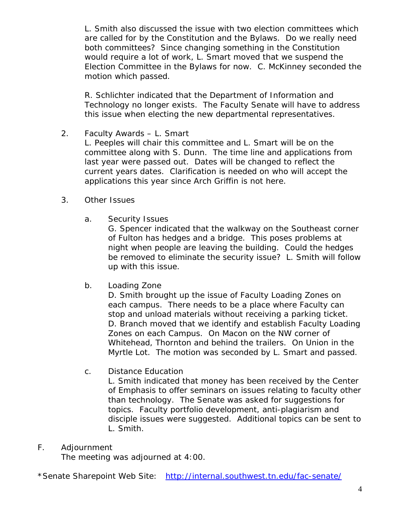L. Smith also discussed the issue with two election committees which are called for by the Constitution and the Bylaws. Do we really need both committees? Since changing something in the Constitution would require a lot of work, L. Smart moved that we suspend the Election Committee in the Bylaws for now. C. McKinney seconded the motion which passed.

R. Schlichter indicated that the Department of Information and Technology no longer exists. The Faculty Senate will have to address this issue when electing the new departmental representatives.

2. Faculty Awards – L. Smart

L. Peeples will chair this committee and L. Smart will be on the committee along with S. Dunn. The time line and applications from last year were passed out. Dates will be changed to reflect the current years dates. Clarification is needed on who will accept the applications this year since Arch Griffin is not here.

- 3. Other Issues
	- a. Security Issues

G. Spencer indicated that the walkway on the Southeast corner of Fulton has hedges and a bridge. This poses problems at night when people are leaving the building. Could the hedges be removed to eliminate the security issue? L. Smith will follow up with this issue.

b. Loading Zone

D. Smith brought up the issue of Faculty Loading Zones on each campus. There needs to be a place where Faculty can stop and unload materials without receiving a parking ticket. D. Branch moved that we identify and establish Faculty Loading Zones on each Campus. On Macon on the NW corner of Whitehead, Thornton and behind the trailers. On Union in the Myrtle Lot. The motion was seconded by L. Smart and passed.

c. Distance Education

L. Smith indicated that money has been received by the Center of Emphasis to offer seminars on issues relating to faculty other than technology. The Senate was asked for suggestions for topics. Faculty portfolio development, anti-plagiarism and disciple issues were suggested. Additional topics can be sent to L. Smith.

# F. Adjournment

The meeting was adjourned at 4:00.

\*Senate Sharepoint Web Site: <http://internal.southwest.tn.edu/fac-senate/>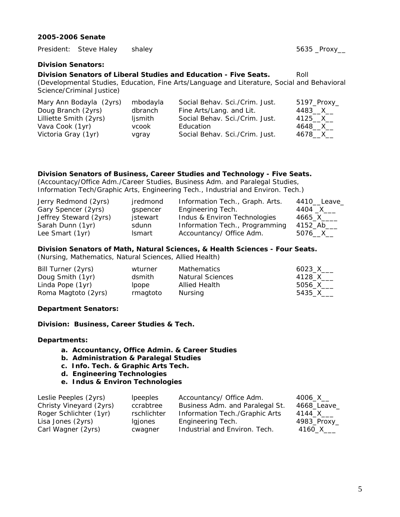#### **2005-2006 Senate**

President: Steve Haley shaley 5635 \_Proxy\_\_

# **Division Senators:**

**Division Senators of Liberal Studies and Education - Five Seats.** Roll

(Developmental Studies, Education, Fine Arts/Language and Literature, Social and Behavioral Science/Criminal Justice)

| Mary Ann Bodayla (2yrs) | mbodayla | Social Behav. Sci./Crim. Just. | $5197$ _Proxy_ |
|-------------------------|----------|--------------------------------|----------------|
| Doug Branch (2yrs)      | dbranch  | Fine Arts/Lang. and Lit.       | $4483$ X       |
| Lilliette Smith (2yrs)  | ljsmith  | Social Behav. Sci./Crim. Just. | 4125__X__      |
| Vava Cook (1yr)         | vcook    | Education                      | 4648__X__      |
| Victoria Gray (1yr)     | vgray    | Social Behav. Sci./Crim. Just. | 4678 X         |

## **Division Senators of Business, Career Studies and Technology - Five Seats.**

(Accountacy/Office Adm./Career Studies, Business Adm. and Paralegal Studies, Information Tech/Graphic Arts, Engineering Tech., Industrial and Environ. Tech.)

| Jerry Redmond (2yrs)   | jredmond      | Information Tech., Graph. Arts. | 4410 Leave     |
|------------------------|---------------|---------------------------------|----------------|
| Gary Spencer (2yrs)    | gspencer      | Engineering Tech.               | 4404 _X___     |
| Jeffrey Steward (2yrs) | jstewart      | Indus & Environ Technologies    | $4665$ _X_____ |
| Sarah Dunn (1yr)       | sdunn         | Information Tech., Programming  | 4152_Ab____    |
| Lee Smart (1yr)        | <b>Ismart</b> | Accountancy/ Office Adm.        | $5076\_X$      |

# **Division Senators of Math, Natural Sciences, & Health Sciences - Four Seats.**

(Nursing, Mathematics, Natural Sciences, Allied Health)

| Bill Turner (2yrs)  | wturner  | Mathematics             | 6023 X    |
|---------------------|----------|-------------------------|-----------|
| Doug Smith (1yr)    | dsmith   | <b>Natural Sciences</b> | 4128_X___ |
| Linda Pope (1yr)    | lpope    | Allied Health           | 5056 X    |
| Roma Magtoto (2yrs) | rmagtoto | Nursina                 | 5435 X    |

#### **Department Senators:**

**Division: Business, Career Studies & Tech.** 

#### **Departments:**

- **a. Accountancy, Office Admin. & Career Studies**
- **b. Administration & Paralegal Studies**
- **c. Info. Tech. & Graphic Arts Tech.**
- **d. Engineering Technologies**
- **e. Indus & Environ Technologies**

| Leslie Peeples (2yrs)   | <i>lpeeples</i> | Accountancy/ Office Adm.        | 4006 X      |
|-------------------------|-----------------|---------------------------------|-------------|
| Christy Vineyard (2yrs) | ccrabtree       | Business Adm. and Paralegal St. | 4668_Leave  |
| Roger Schlichter (1yr)  | rschlichter     | Information Tech./Graphic Arts  | 4144_X____  |
| Lisa Jones (2yrs)       | Igjones         | Engineering Tech.               | 4983_Proxy_ |
| Carl Wagner (2yrs)      | cwagner         | Industrial and Environ. Tech.   | 4160_X____  |